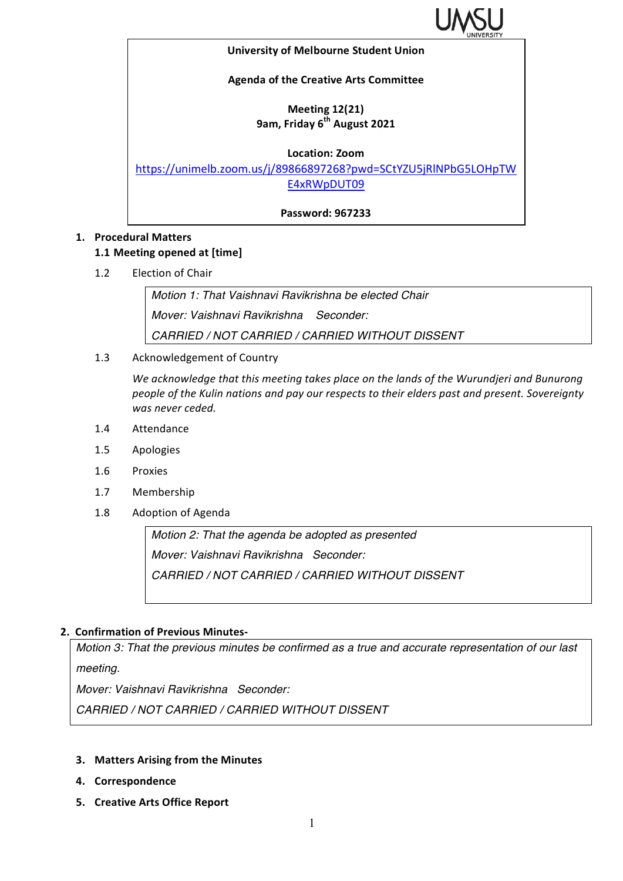

#### **University of Melbourne Student Union**

## **Agenda of the Creative Arts Committee**

## **Meeting 12(21) 9am, Friday 6th August 2021**

**Location: Zoom**

https://unimelb.zoom.us/j/89866897268?pwd=SCtYZU5jRlNPbG5LOHpTW E4xRWpDUT09

**Password: 967233**

## **1. Procedural Matters**

## **1.1 Meeting opened at [time]**

1.2 Election of Chair

*Motion 1: That Vaishnavi Ravikrishna be elected Chair Mover: Vaishnavi Ravikrishna Seconder: CARRIED / NOT CARRIED / CARRIED WITHOUT DISSENT*

1.3 Acknowledgement of Country

We acknowledge that this meeting takes place on the lands of the Wurundjeri and Bunurong people of the Kulin nations and pay our respects to their elders past and present. Sovereignty was never ceded.

- 1.4 Attendance
- 1.5 Apologies
- 1.6 Proxies
- 1.7 Membership
- 1.8 Adoption of Agenda

*Motion 2: That the agenda be adopted as presented Mover: Vaishnavi Ravikrishna Seconder: CARRIED / NOT CARRIED / CARRIED WITHOUT DISSENT*

## **2. Confirmation of Previous Minutes-**

*Motion 3: That the previous minutes be confirmed as a true and accurate representation of our last meeting.*

*Mover: Vaishnavi Ravikrishna Seconder:* 

*CARRIED / NOT CARRIED / CARRIED WITHOUT DISSENT*

- **3.** Matters Arising from the Minutes
- **4. Correspondence**
- **5. Creative Arts Office Report**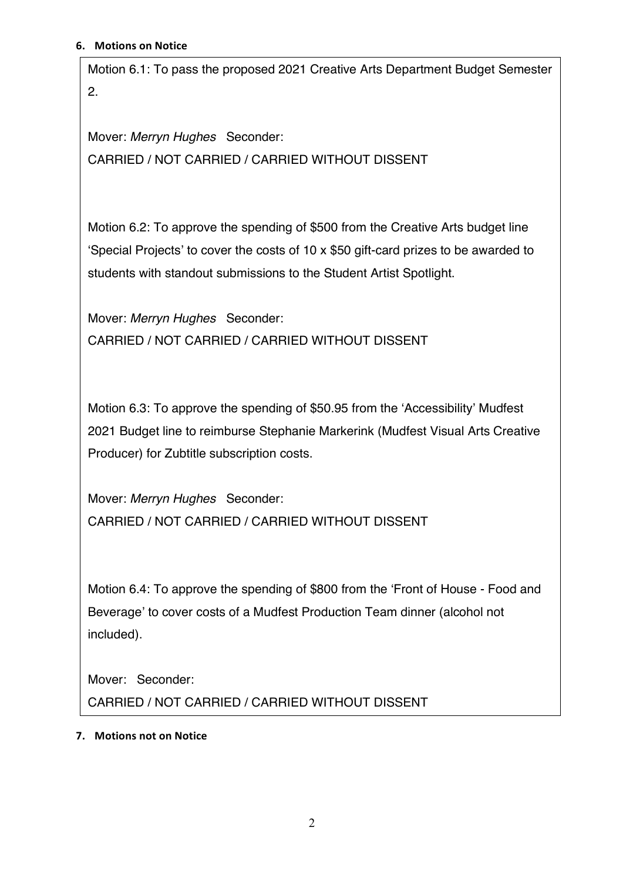Motion 6.1: To pass the proposed 2021 Creative Arts Department Budget Semester 2.

Mover: *Merryn Hughes* Seconder: CARRIED / NOT CARRIED / CARRIED WITHOUT DISSENT

Motion 6.2: To approve the spending of \$500 from the Creative Arts budget line 'Special Projects' to cover the costs of 10 x \$50 gift-card prizes to be awarded to students with standout submissions to the Student Artist Spotlight.

Mover: *Merryn Hughes* Seconder: CARRIED / NOT CARRIED / CARRIED WITHOUT DISSENT

Motion 6.3: To approve the spending of \$50.95 from the 'Accessibility' Mudfest 2021 Budget line to reimburse Stephanie Markerink (Mudfest Visual Arts Creative Producer) for Zubtitle subscription costs.

Mover: *Merryn Hughes* Seconder: CARRIED / NOT CARRIED / CARRIED WITHOUT DISSENT

Motion 6.4: To approve the spending of \$800 from the 'Front of House - Food and Beverage' to cover costs of a Mudfest Production Team dinner (alcohol not included).

Mover: Seconder:

CARRIED / NOT CARRIED / CARRIED WITHOUT DISSENT

# **7.** Motions not on Notice